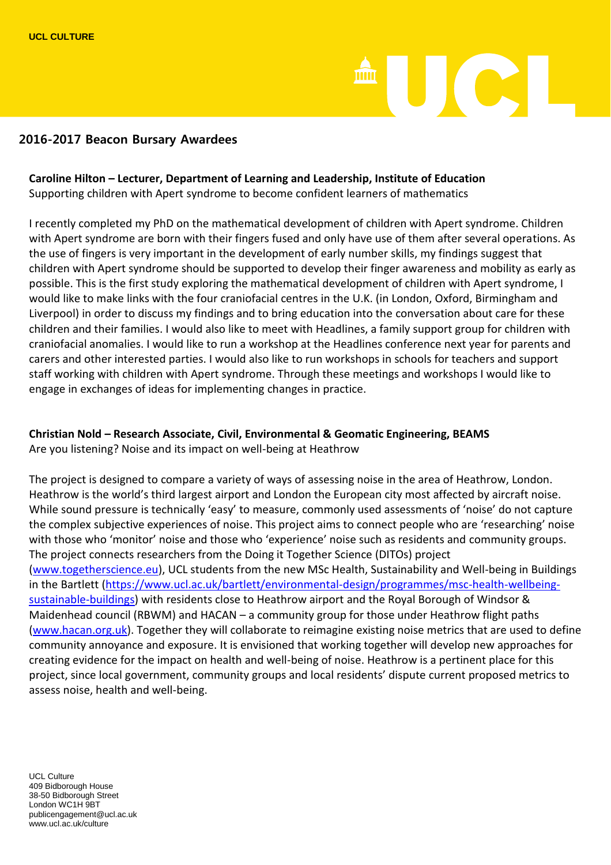# **II** I OC

#### **2016-2017 Beacon Bursary Awardees**

#### **Caroline Hilton – Lecturer, Department of Learning and Leadership, Institute of Education** Supporting children with Apert syndrome to become confident learners of mathematics

I recently completed my PhD on the mathematical development of children with Apert syndrome. Children with Apert syndrome are born with their fingers fused and only have use of them after several operations. As the use of fingers is very important in the development of early number skills, my findings suggest that children with Apert syndrome should be supported to develop their finger awareness and mobility as early as possible. This is the first study exploring the mathematical development of children with Apert syndrome, I would like to make links with the four craniofacial centres in the U.K. (in London, Oxford, Birmingham and Liverpool) in order to discuss my findings and to bring education into the conversation about care for these children and their families. I would also like to meet with Headlines, a family support group for children with craniofacial anomalies. I would like to run a workshop at the Headlines conference next year for parents and carers and other interested parties. I would also like to run workshops in schools for teachers and support staff working with children with Apert syndrome. Through these meetings and workshops I would like to engage in exchanges of ideas for implementing changes in practice.

### **Christian Nold – Research Associate, Civil, Environmental & Geomatic Engineering, BEAMS**

Are you listening? Noise and its impact on well-being at Heathrow

The project is designed to compare a variety of ways of assessing noise in the area of Heathrow, London. Heathrow is the world's third largest airport and London the European city most affected by aircraft noise. While sound pressure is technically 'easy' to measure, commonly used assessments of 'noise' do not capture the complex subjective experiences of noise. This project aims to connect people who are 'researching' noise with those who 'monitor' noise and those who 'experience' noise such as residents and community groups. The project connects researchers from the Doing it Together Science (DITOs) project [\(www.togetherscience.eu\)](http://www.togetherscience.eu/), UCL students from the new MSc Health, Sustainability and Well-being in Buildings in the Bartlett [\(https://www.ucl.ac.uk/bartlett/environmental-design/programmes/msc-health-wellbeing](https://www.ucl.ac.uk/bartlett/environmental-design/programmes/msc-health-wellbeing-sustainable-buildings)[sustainable-buildings\)](https://www.ucl.ac.uk/bartlett/environmental-design/programmes/msc-health-wellbeing-sustainable-buildings) with residents close to Heathrow airport and the Royal Borough of Windsor & Maidenhead council (RBWM) and HACAN – a community group for those under Heathrow flight paths [\(www.hacan.org.uk\)](http://www.hacan.org.uk/). Together they will collaborate to reimagine existing noise metrics that are used to define community annoyance and exposure. It is envisioned that working together will develop new approaches for creating evidence for the impact on health and well-being of noise. Heathrow is a pertinent place for this project, since local government, community groups and local residents' dispute current proposed metrics to assess noise, health and well-being.

UCL Culture 409 Bidborough House 38-50 Bidborough Street London WC1H 9BT publicengagement@ucl.ac.uk www.ucl.ac.uk/culture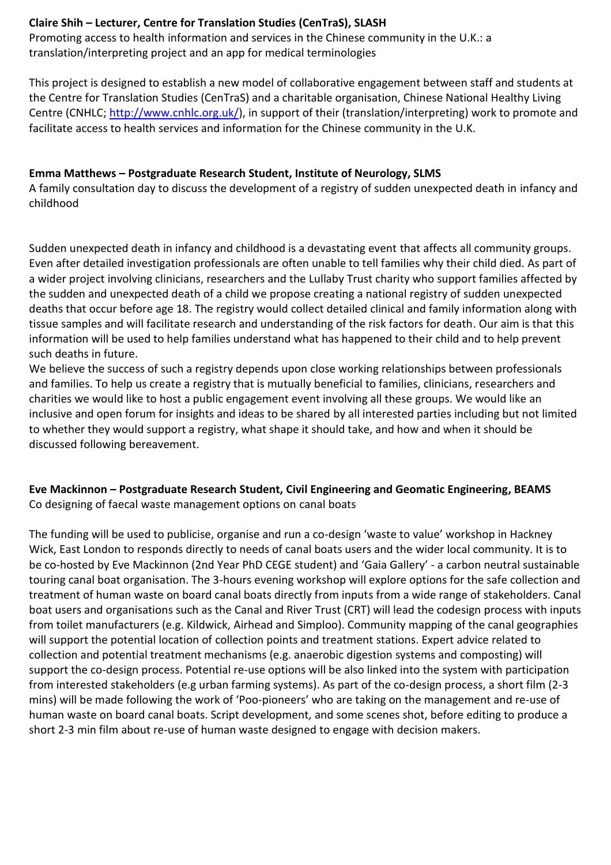#### **Claire Shih – Lecturer, Centre for Translation Studies (CenTraS), SLASH**

Promoting access to health information and services in the Chinese community in the U.K.: a translation/interpreting project and an app for medical terminologies

This project is designed to establish a new model of collaborative engagement between staff and students at the Centre for Translation Studies (CenTraS) and a charitable organisation, Chinese National Healthy Living Centre (CNHLC; [http://www.cnhlc.org.uk/\)](http://www.cnhlc.org.uk/), in support of their (translation/interpreting) work to promote and facilitate access to health services and information for the Chinese community in the U.K.

#### **Emma Matthews – Postgraduate Research Student, Institute of Neurology, SLMS**

A family consultation day to discuss the development of a registry of sudden unexpected death in infancy and childhood

Sudden unexpected death in infancy and childhood is a devastating event that affects all community groups. Even after detailed investigation professionals are often unable to tell families why their child died. As part of a wider project involving clinicians, researchers and the Lullaby Trust charity who support families affected by the sudden and unexpected death of a child we propose creating a national registry of sudden unexpected deaths that occur before age 18. The registry would collect detailed clinical and family information along with tissue samples and will facilitate research and understanding of the risk factors for death. Our aim is that this information will be used to help families understand what has happened to their child and to help prevent such deaths in future.

We believe the success of such a registry depends upon close working relationships between professionals and families. To help us create a registry that is mutually beneficial to families, clinicians, researchers and charities we would like to host a public engagement event involving all these groups. We would like an inclusive and open forum for insights and ideas to be shared by all interested parties including but not limited to whether they would support a registry, what shape it should take, and how and when it should be discussed following bereavement.

#### **Eve Mackinnon – Postgraduate Research Student, Civil Engineering and Geomatic Engineering, BEAMS** Co designing of faecal waste management options on canal boats

The funding will be used to publicise, organise and run a co-design 'waste to value' workshop in Hackney Wick, East London to responds directly to needs of canal boats users and the wider local community. It is to be co-hosted by Eve Mackinnon (2nd Year PhD CEGE student) and 'Gaia Gallery' - a carbon neutral sustainable touring canal boat organisation. The 3-hours evening workshop will explore options for the safe collection and treatment of human waste on board canal boats directly from inputs from a wide range of stakeholders. Canal boat users and organisations such as the Canal and River Trust (CRT) will lead the codesign process with inputs from toilet manufacturers (e.g. Kildwick, Airhead and Simploo). Community mapping of the canal geographies will support the potential location of collection points and treatment stations. Expert advice related to collection and potential treatment mechanisms (e.g. anaerobic digestion systems and composting) will support the co-design process. Potential re-use options will be also linked into the system with participation from interested stakeholders (e.g urban farming systems). As part of the co-design process, a short film (2-3 mins) will be made following the work of 'Poo-pioneers' who are taking on the management and re-use of human waste on board canal boats. Script development, and some scenes shot, before editing to produce a short 2-3 min film about re-use of human waste designed to engage with decision makers.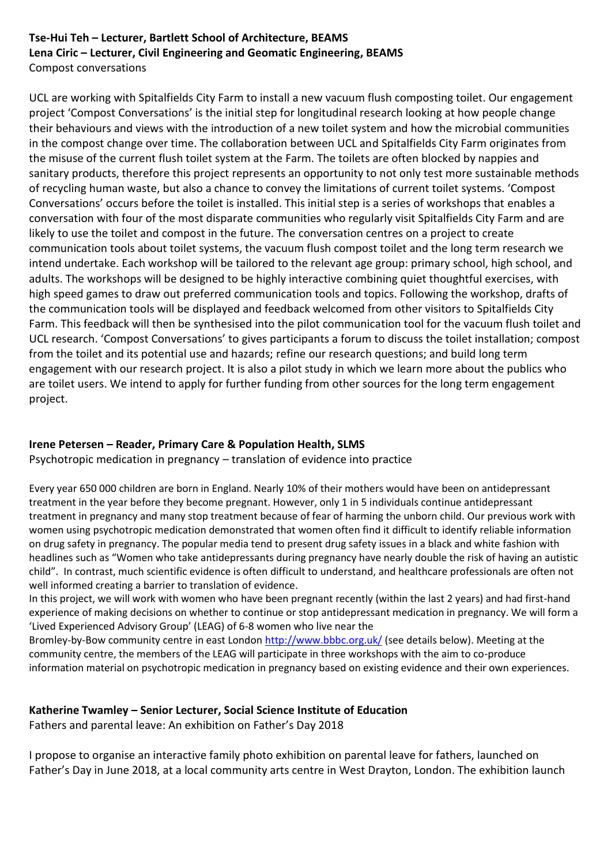#### **Tse-Hui Teh – Lecturer, Bartlett School of Architecture, BEAMS Lena Ciric – Lecturer, Civil Engineering and Geomatic Engineering, BEAMS** Compost conversations

UCL are working with Spitalfields City Farm to install a new vacuum flush composting toilet. Our engagement project 'Compost Conversations' is the initial step for longitudinal research looking at how people change their behaviours and views with the introduction of a new toilet system and how the microbial communities in the compost change over time. The collaboration between UCL and Spitalfields City Farm originates from the misuse of the current flush toilet system at the Farm. The toilets are often blocked by nappies and sanitary products, therefore this project represents an opportunity to not only test more sustainable methods of recycling human waste, but also a chance to convey the limitations of current toilet systems. 'Compost Conversations' occurs before the toilet is installed. This initial step is a series of workshops that enables a conversation with four of the most disparate communities who regularly visit Spitalfields City Farm and are likely to use the toilet and compost in the future. The conversation centres on a project to create communication tools about toilet systems, the vacuum flush compost toilet and the long term research we intend undertake. Each workshop will be tailored to the relevant age group: primary school, high school, and adults. The workshops will be designed to be highly interactive combining quiet thoughtful exercises, with high speed games to draw out preferred communication tools and topics. Following the workshop, drafts of the communication tools will be displayed and feedback welcomed from other visitors to Spitalfields City Farm. This feedback will then be synthesised into the pilot communication tool for the vacuum flush toilet and UCL research. 'Compost Conversations' to gives participants a forum to discuss the toilet installation; compost from the toilet and its potential use and hazards; refine our research questions; and build long term engagement with our research project. It is also a pilot study in which we learn more about the publics who are toilet users. We intend to apply for further funding from other sources for the long term engagement project.

#### **Irene Petersen – Reader, Primary Care & Population Health, SLMS**

Psychotropic medication in pregnancy – translation of evidence into practice

Every year 650 000 children are born in England. Nearly 10% of their mothers would have been on antidepressant treatment in the year before they become pregnant. However, only 1 in 5 individuals continue antidepressant treatment in pregnancy and many stop treatment because of fear of harming the unborn child. Our previous work with women using psychotropic medication demonstrated that women often find it difficult to identify reliable information on drug safety in pregnancy. The popular media tend to present drug safety issues in a black and white fashion with headlines such as "Women who take antidepressants during pregnancy have nearly double the risk of having an autistic child". In contrast, much scientific evidence is often difficult to understand, and healthcare professionals are often not well informed creating a barrier to translation of evidence.

In this project, we will work with women who have been pregnant recently (within the last 2 years) and had first-hand experience of making decisions on whether to continue or stop antidepressant medication in pregnancy. We will form a 'Lived Experienced Advisory Group' (LEAG) of 6-8 women who live near the

Bromley-by-Bow community centre in east London<http://www.bbbc.org.uk/> (see details below). Meeting at the community centre, the members of the LEAG will participate in three workshops with the aim to co-produce information material on psychotropic medication in pregnancy based on existing evidence and their own experiences.

#### **Katherine Twamley – Senior Lecturer, Social Science Institute of Education**

Fathers and parental leave: An exhibition on Father's Day 2018

I propose to organise an interactive family photo exhibition on parental leave for fathers, launched on Father's Day in June 2018, at a local community arts centre in West Drayton, London. The exhibition launch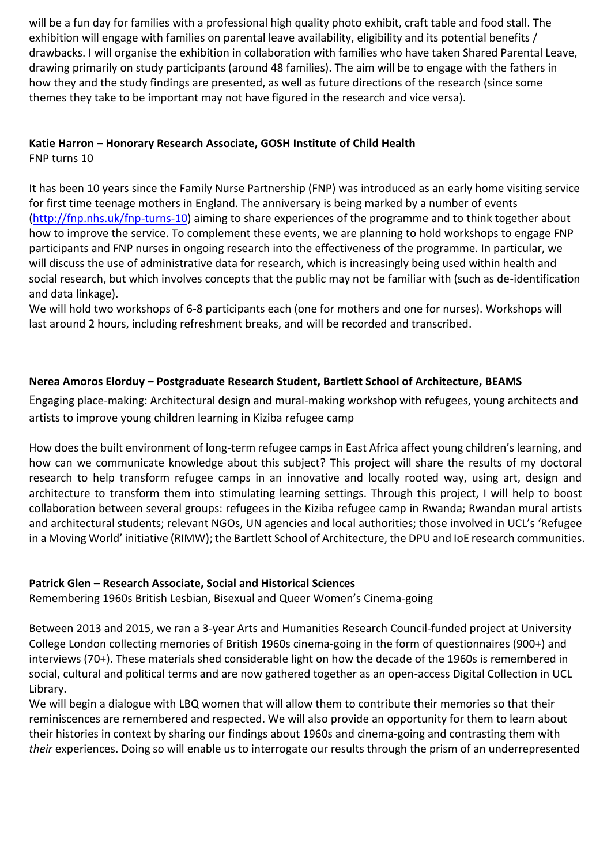will be a fun day for families with a professional high quality photo exhibit, craft table and food stall. The exhibition will engage with families on parental leave availability, eligibility and its potential benefits / drawbacks. I will organise the exhibition in collaboration with families who have taken Shared Parental Leave, drawing primarily on study participants (around 48 families). The aim will be to engage with the fathers in how they and the study findings are presented, as well as future directions of the research (since some themes they take to be important may not have figured in the research and vice versa).

## **Katie Harron – Honorary Research Associate, GOSH Institute of Child Health**

FNP turns 10

It has been 10 years since the Family Nurse Partnership (FNP) was introduced as an early home visiting service for first time teenage mothers in England. The anniversary is being marked by a number of events [\(http://fnp.nhs.uk/fnp-turns-10\)](http://fnp.nhs.uk/fnp-turns-10) aiming to share experiences of the programme and to think together about how to improve the service. To complement these events, we are planning to hold workshops to engage FNP participants and FNP nurses in ongoing research into the effectiveness of the programme. In particular, we will discuss the use of administrative data for research, which is increasingly being used within health and social research, but which involves concepts that the public may not be familiar with (such as de-identification and data linkage).

We will hold two workshops of 6-8 participants each (one for mothers and one for nurses). Workshops will last around 2 hours, including refreshment breaks, and will be recorded and transcribed.

#### **Nerea Amoros Elorduy – Postgraduate Research Student, Bartlett School of Architecture, BEAMS**

Engaging place-making: Architectural design and mural-making workshop with refugees, young architects and artists to improve young children learning in Kiziba refugee camp

How does the built environment of long-term refugee camps in East Africa affect young children's learning, and how can we communicate knowledge about this subject? This project will share the results of my doctoral research to help transform refugee camps in an innovative and locally rooted way, using art, design and architecture to transform them into stimulating learning settings. Through this project, I will help to boost collaboration between several groups: refugees in the Kiziba refugee camp in Rwanda; Rwandan mural artists and architectural students; relevant NGOs, UN agencies and local authorities; those involved in UCL's 'Refugee in a Moving World' initiative (RIMW); the Bartlett School of Architecture, the DPU and IoE research communities.

#### **Patrick Glen – Research Associate, Social and Historical Sciences**

Remembering 1960s British Lesbian, Bisexual and Queer Women's Cinema-going

Between 2013 and 2015, we ran a 3-year Arts and Humanities Research Council-funded project at University College London collecting memories of British 1960s cinema-going in the form of questionnaires (900+) and interviews (70+). These materials shed considerable light on how the decade of the 1960s is remembered in social, cultural and political terms and are now gathered together as an open-access Digital Collection in UCL Library.

We will begin a dialogue with LBQ women that will allow them to contribute their memories so that their reminiscences are remembered and respected. We will also provide an opportunity for them to learn about their histories in context by sharing our findings about 1960s and cinema-going and contrasting them with *their* experiences. Doing so will enable us to interrogate our results through the prism of an underrepresented